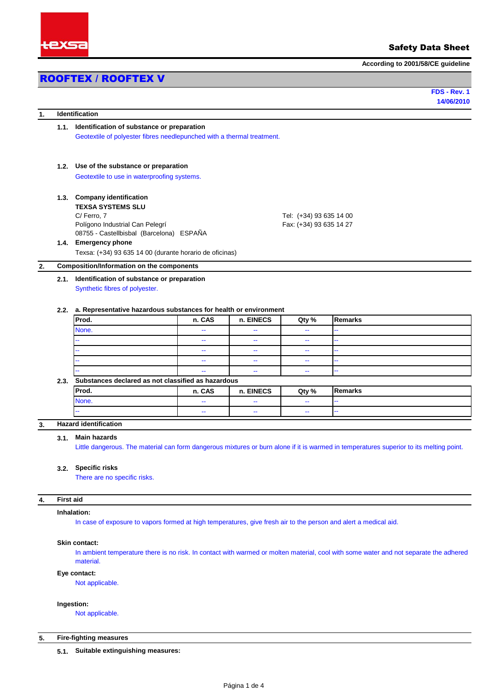

## Safety Data Sheet

**According to 2001/58/CE guideline**

# ROOFTEX / ROOFTEX V

**14/06/2010 FDS - Rev. 1**

| 1.                                                         |                                                    | Identification                                                                                                                          |                           |           |                          |                |  |  |
|------------------------------------------------------------|----------------------------------------------------|-----------------------------------------------------------------------------------------------------------------------------------------|---------------------------|-----------|--------------------------|----------------|--|--|
|                                                            | Identification of substance or preparation<br>1.1. |                                                                                                                                         |                           |           |                          |                |  |  |
|                                                            |                                                    | Geotextile of polyester fibres needlepunched with a thermal treatment.                                                                  |                           |           |                          |                |  |  |
| Use of the substance or preparation<br>1.2.                |                                                    |                                                                                                                                         |                           |           |                          |                |  |  |
|                                                            |                                                    | Geotextile to use in waterproofing systems.                                                                                             |                           |           |                          |                |  |  |
|                                                            |                                                    | 1.3. Company identification                                                                                                             |                           |           |                          |                |  |  |
|                                                            |                                                    | <b>TEXSA SYSTEMS SLU</b><br>C/Ferro, 7                                                                                                  |                           |           | Tel: (+34) 93 635 14 00  |                |  |  |
|                                                            |                                                    | Polígono Industrial Can Pelegrí                                                                                                         |                           |           | Fax: (+34) 93 635 14 27  |                |  |  |
|                                                            |                                                    | 08755 - Castellbisbal (Barcelona) ESPAÑA                                                                                                |                           |           |                          |                |  |  |
|                                                            |                                                    | 1.4. Emergency phone                                                                                                                    |                           |           |                          |                |  |  |
|                                                            |                                                    | Texsa: (+34) 93 635 14 00 (durante horario de oficinas)                                                                                 |                           |           |                          |                |  |  |
|                                                            |                                                    | <b>Composition/Information on the components</b>                                                                                        |                           |           |                          |                |  |  |
|                                                            |                                                    | 2.1. Identification of substance or preparation                                                                                         |                           |           |                          |                |  |  |
|                                                            |                                                    | Synthetic fibres of polyester.                                                                                                          |                           |           |                          |                |  |  |
|                                                            |                                                    |                                                                                                                                         |                           |           |                          |                |  |  |
|                                                            | 2.2.                                               | a. Representative hazardous substances for health or environment                                                                        |                           |           |                          |                |  |  |
|                                                            |                                                    | Prod.                                                                                                                                   | n. CAS                    | n. EINECS | Qty %                    | <b>Remarks</b> |  |  |
|                                                            |                                                    | None.                                                                                                                                   | --                        | н.        | ÷,                       |                |  |  |
|                                                            |                                                    |                                                                                                                                         | 44                        | 44        | $\overline{\phantom{a}}$ | ä,             |  |  |
|                                                            |                                                    |                                                                                                                                         | ÷                         | 44        | $\overline{\phantom{a}}$ | ä,             |  |  |
|                                                            |                                                    |                                                                                                                                         | ÷,                        | 44        | $\overline{\phantom{a}}$ | ä,             |  |  |
|                                                            |                                                    |                                                                                                                                         | $\mathbb{Z}^{\mathbb{Z}}$ | н.        | 44                       | ä,             |  |  |
| Substances declared as not classified as hazardous<br>2.3. |                                                    |                                                                                                                                         |                           |           |                          |                |  |  |
|                                                            |                                                    | Prod.                                                                                                                                   | n. CAS                    | n. EINECS | Qty %                    | Remarks        |  |  |
|                                                            |                                                    | None.                                                                                                                                   | 44                        | --        | ÷,                       | ä,             |  |  |
|                                                            |                                                    |                                                                                                                                         | 44                        | 44        | $\overline{\phantom{a}}$ |                |  |  |
|                                                            |                                                    | <b>Hazard identification</b>                                                                                                            |                           |           |                          |                |  |  |
|                                                            | 3.1.                                               | <b>Main hazards</b>                                                                                                                     |                           |           |                          |                |  |  |
|                                                            |                                                    | Little dangerous. The material can form dangerous mixtures or burn alone if it is warmed in temperatures superior to its melting point. |                           |           |                          |                |  |  |
|                                                            |                                                    |                                                                                                                                         |                           |           |                          |                |  |  |
|                                                            | 3.2.                                               | <b>Specific risks</b>                                                                                                                   |                           |           |                          |                |  |  |
| There are no specific risks.                               |                                                    |                                                                                                                                         |                           |           |                          |                |  |  |
|                                                            |                                                    |                                                                                                                                         |                           |           |                          |                |  |  |
|                                                            | <b>First aid</b>                                   |                                                                                                                                         |                           |           |                          |                |  |  |
|                                                            |                                                    | Inhalation:                                                                                                                             |                           |           |                          |                |  |  |
|                                                            |                                                    |                                                                                                                                         |                           |           |                          |                |  |  |
|                                                            |                                                    | In case of exposure to vapors formed at high temperatures, give fresh air to the person and alert a medical aid.                        |                           |           |                          |                |  |  |

In ambient temperature there is no risk. In contact with warmed or molten material, cool with some water and not separate the adhered material.

**Eye contact:**

Not applicable.

## **Ingestion:**

Not applicable.

## **5. Fire-fighting measures**

**5.1. Suitable extinguishing measures:**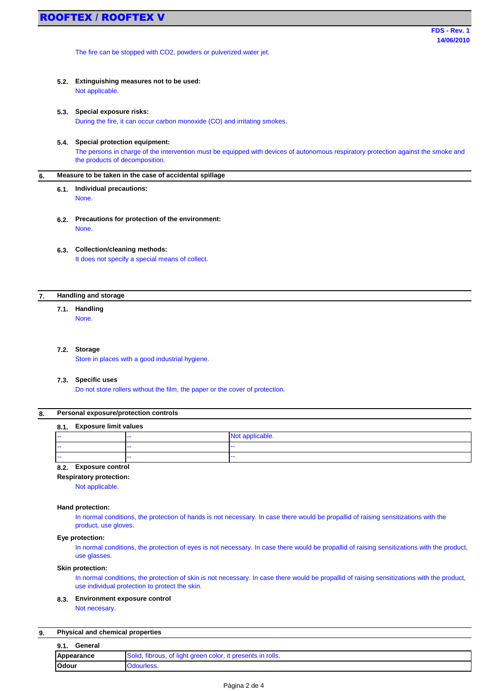The fire can be stopped with CO2, powders or pulverized water jet.

**5.2. Extinguishing measures not to be used:** Not applicable.

## **5.3. Special exposure risks:** During the fire, it can occur carbon monoxide (CO) and irritating smokes.

## **5.4. Special protection equipment:**

The persons in charge of the intervention must be equipped with devices of autonomous respiratory protection against the smoke and the products of decomposition.

#### **6. Measure to be taken in the case of accidental spìllage**

#### **6.1.** None. **Individual precautions:**

- **6.2. Precautions for protection of the environment:** None.
- **6.3. Collection/cleaning methods:** It does not specify a special means of collect.

#### **7. Handling and storage**

#### **7.1. Handling**

None.

### **7.2. Storage**

Store in places with a good industrial hygiene.

### **7.3. Specific uses**

Do not store rollers without the film, the paper or the cover of protection.

#### **8. Personal exposure/protection controls**

#### **8.1. Exposure limit values**

| .<br>.<br>. |       |                 |
|-------------|-------|-----------------|
| .           | --    | Not applicable. |
| .           | $- -$ | $- -$           |
| .           | $- -$ | $- -$           |
| $-$         |       |                 |

## **8.2. Exposure control**

**Respiratory protection:**

Not applicable.

## **Hand protection:**

In normal conditions, the protection of hands is not necessary. In case there would be propallid of raising sensitizations with the product, use gloves.

## **Eye protection:**

In normal conditions, the protection of eyes is not necessary. In case there would be propallid of raising sensitizations with the product, use glasses.

## **Skin protection:**

In normal conditions, the protection of skin is not necessary. In case there would be propallid of raising sensitizations with the product, use individual protection to protect the skin.

#### **8.3. Environment exposure control**

Not necesary.

#### **9. Physical and chemical properties**

| 9.1.<br>General |                                                             |
|-----------------|-------------------------------------------------------------|
| Appearance      | Solid, fibrous, of light green color, it presents in rolls. |
| <b>Odour</b>    | Odourless.                                                  |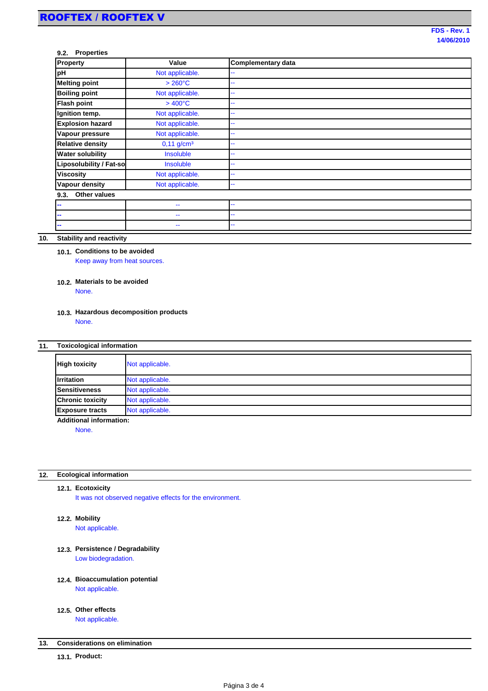## **9.2. Properties**

| Property                       | Value                    | <b>Complementary data</b> |
|--------------------------------|--------------------------|---------------------------|
| pH                             | Not applicable.          |                           |
| <b>Melting point</b>           | $>260^{\circ}$ C         | ۰.                        |
| <b>Boiling point</b>           | Not applicable.          |                           |
| <b>Flash point</b>             | $>400^{\circ}$ C         |                           |
| Ignition temp.                 | Not applicable.          |                           |
| <b>Explosion hazard</b>        | Not applicable.          | н.                        |
| Vapour pressure                | Not applicable.          |                           |
| <b>Relative density</b>        | $0,11$ g/cm <sup>3</sup> |                           |
| <b>Water solubility</b>        | Insoluble                | н.                        |
| <b>Liposolubility / Fat-so</b> | Insoluble                |                           |
| <b>Viscosity</b>               | Not applicable.          |                           |
| <b>Vapour density</b>          | Not applicable.          | --                        |
| Other values<br>9.3.           |                          |                           |
| --                             | --                       |                           |
| --                             | --                       | ۰.                        |
| $\overline{\phantom{a}}$       | --                       | --                        |

#### **10. Stability and reactivity**

## **10.1. Conditions to be avoided** Keep away from heat sources.

### **10.2. Materials to be avoided** None.

### **10.3. Hazardous decomposition products** None.

#### **11. Toxicological information**

| <b>High toxicity</b>    | Not applicable. |
|-------------------------|-----------------|
| <b>Irritation</b>       | Not applicable. |
| <b>Sensitiveness</b>    | Not applicable. |
| <b>Chronic toxicity</b> | Not applicable. |
| <b>Exposure tracts</b>  | Not applicable. |

**Additional information:**

None.

#### **12. Ecological information**

### **12.1. Ecotoxicity**

It was not observed negative effects for the environment.

### **12.2. Mobility**

Not applicable.

# **12.3. Persistence / Degradability**

Low biodegradation.

## **12.4. Bioaccumulation potential** Not applicable.

# **12.5. Other effects**

Not applicable.

#### **13. Considerations on elimination**